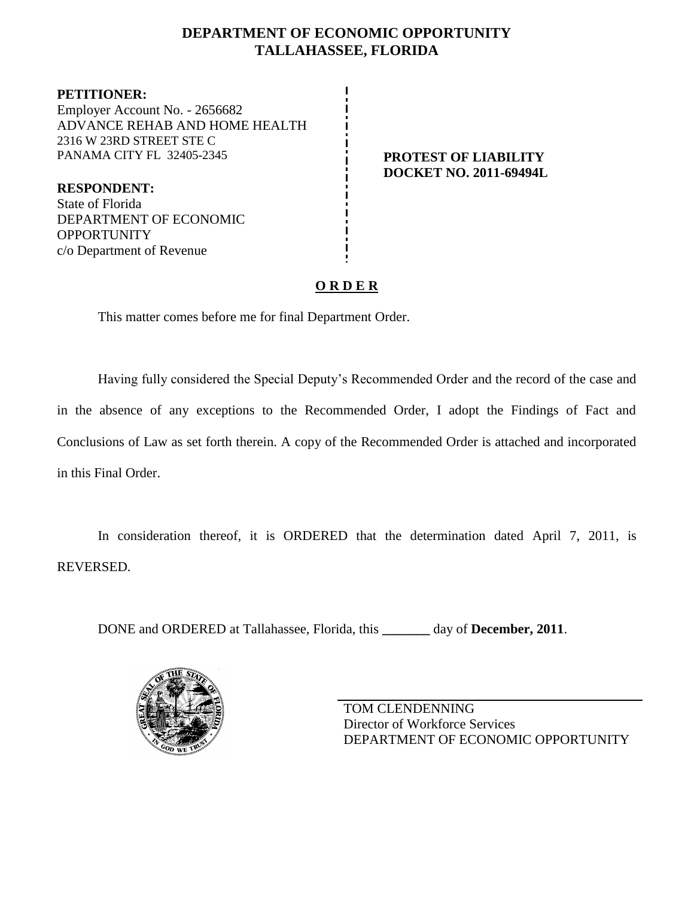### **DEPARTMENT OF ECONOMIC OPPORTUNITY TALLAHASSEE, FLORIDA**

**PETITIONER:** Employer Account No. - 2656682 ADVANCE REHAB AND HOME HEALTH 2316 W 23RD STREET STE C PANAMA CITY FL 32405-2345 **PROTEST OF LIABILITY** 

**RESPONDENT:** State of Florida DEPARTMENT OF ECONOMIC **OPPORTUNITY** c/o Department of Revenue

# **DOCKET NO. 2011-69494L**

### **O R D E R**

This matter comes before me for final Department Order.

Having fully considered the Special Deputy's Recommended Order and the record of the case and in the absence of any exceptions to the Recommended Order, I adopt the Findings of Fact and Conclusions of Law as set forth therein. A copy of the Recommended Order is attached and incorporated in this Final Order.

In consideration thereof, it is ORDERED that the determination dated April 7, 2011, is REVERSED.

DONE and ORDERED at Tallahassee, Florida, this **\_\_\_\_\_\_\_** day of **December, 2011**.



TOM CLENDENNING Director of Workforce Services DEPARTMENT OF ECONOMIC OPPORTUNITY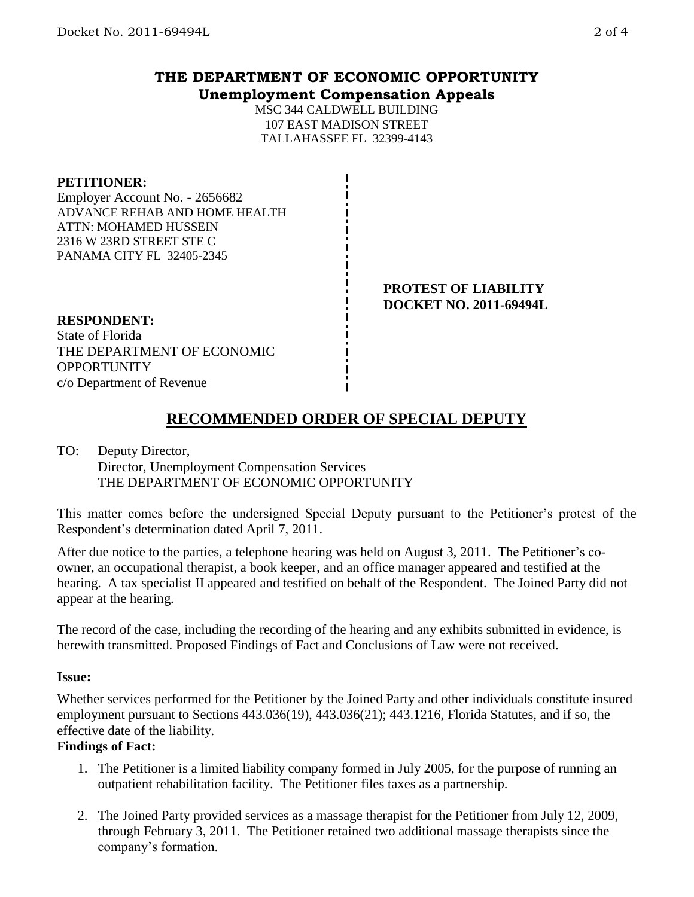## **THE DEPARTMENT OF ECONOMIC OPPORTUNITY Unemployment Compensation Appeals**

MSC 344 CALDWELL BUILDING 107 EAST MADISON STREET TALLAHASSEE FL 32399-4143

#### **PETITIONER:**

Employer Account No. - 2656682 ADVANCE REHAB AND HOME HEALTH ATTN: MOHAMED HUSSEIN 2316 W 23RD STREET STE C PANAMA CITY FL 32405-2345

> **PROTEST OF LIABILITY DOCKET NO. 2011-69494L**

### **RESPONDENT:**

State of Florida THE DEPARTMENT OF ECONOMIC **OPPORTUNITY** c/o Department of Revenue

# **RECOMMENDED ORDER OF SPECIAL DEPUTY**

### TO: Deputy Director, Director, Unemployment Compensation Services

THE DEPARTMENT OF ECONOMIC OPPORTUNITY

This matter comes before the undersigned Special Deputy pursuant to the Petitioner's protest of the Respondent's determination dated April 7, 2011.

After due notice to the parties, a telephone hearing was held on August 3, 2011. The Petitioner's coowner, an occupational therapist, a book keeper, and an office manager appeared and testified at the hearing. A tax specialist II appeared and testified on behalf of the Respondent. The Joined Party did not appear at the hearing.

The record of the case, including the recording of the hearing and any exhibits submitted in evidence, is herewith transmitted. Proposed Findings of Fact and Conclusions of Law were not received.

### **Issue:**

Whether services performed for the Petitioner by the Joined Party and other individuals constitute insured employment pursuant to Sections 443.036(19), 443.036(21); 443.1216, Florida Statutes, and if so, the effective date of the liability.

### **Findings of Fact:**

- 1. The Petitioner is a limited liability company formed in July 2005, for the purpose of running an outpatient rehabilitation facility. The Petitioner files taxes as a partnership.
- 2. The Joined Party provided services as a massage therapist for the Petitioner from July 12, 2009, through February 3, 2011. The Petitioner retained two additional massage therapists since the company's formation.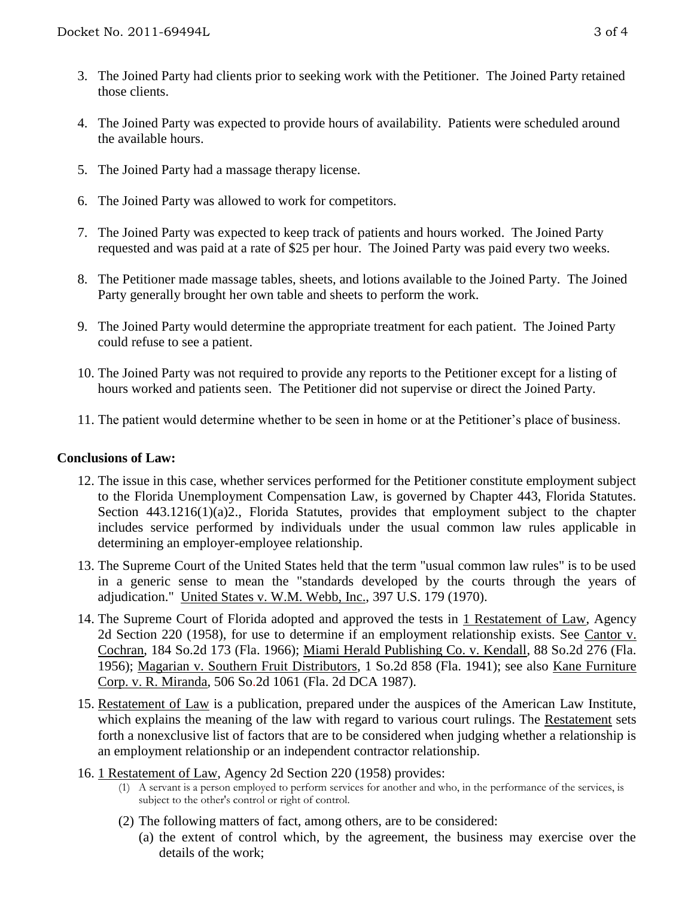- 3. The Joined Party had clients prior to seeking work with the Petitioner. The Joined Party retained those clients.
- 4. The Joined Party was expected to provide hours of availability. Patients were scheduled around the available hours.
- 5. The Joined Party had a massage therapy license.
- 6. The Joined Party was allowed to work for competitors.
- 7. The Joined Party was expected to keep track of patients and hours worked. The Joined Party requested and was paid at a rate of \$25 per hour. The Joined Party was paid every two weeks.
- 8. The Petitioner made massage tables, sheets, and lotions available to the Joined Party. The Joined Party generally brought her own table and sheets to perform the work.
- 9. The Joined Party would determine the appropriate treatment for each patient. The Joined Party could refuse to see a patient.
- 10. The Joined Party was not required to provide any reports to the Petitioner except for a listing of hours worked and patients seen. The Petitioner did not supervise or direct the Joined Party.
- 11. The patient would determine whether to be seen in home or at the Petitioner's place of business.

### **Conclusions of Law:**

- 12. The issue in this case, whether services performed for the Petitioner constitute employment subject to the Florida Unemployment Compensation Law, is governed by Chapter 443, Florida Statutes. Section 443.1216(1)(a)2., Florida Statutes, provides that employment subject to the chapter includes service performed by individuals under the usual common law rules applicable in determining an employer-employee relationship.
- 13. The Supreme Court of the United States held that the term "usual common law rules" is to be used in a generic sense to mean the "standards developed by the courts through the years of adjudication." United States v. W.M. Webb, Inc., 397 U.S. 179 (1970).
- 14. The Supreme Court of Florida adopted and approved the tests in 1 Restatement of Law, Agency 2d Section 220 (1958), for use to determine if an employment relationship exists. See Cantor v. Cochran, 184 So.2d 173 (Fla. 1966); Miami Herald Publishing Co. v. Kendall, 88 So.2d 276 (Fla. 1956); Magarian v. Southern Fruit Distributors, 1 So.2d 858 (Fla. 1941); see also Kane Furniture Corp. v. R. Miranda, 506 So.2d 1061 (Fla. 2d DCA 1987).
- 15. Restatement of Law is a publication, prepared under the auspices of the American Law Institute, which explains the meaning of the law with regard to various court rulings. The Restatement sets forth a nonexclusive list of factors that are to be considered when judging whether a relationship is an employment relationship or an independent contractor relationship.
- 16. 1 Restatement of Law, Agency 2d Section 220 (1958) provides:
	- (1) A servant is a person employed to perform services for another and who, in the performance of the services, is subject to the other's control or right of control.
	- (2) The following matters of fact, among others, are to be considered:
		- (a) the extent of control which, by the agreement, the business may exercise over the details of the work;